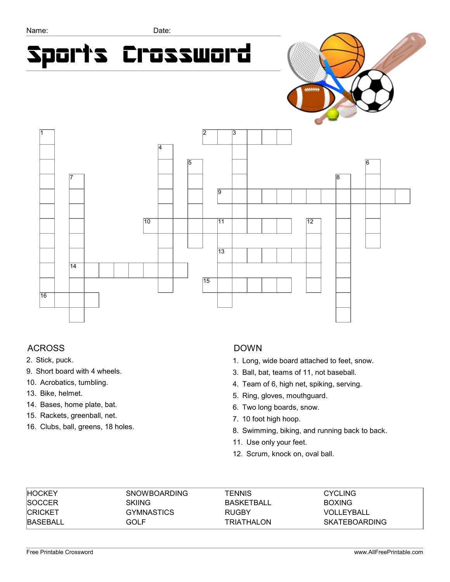# Sports Crossword



## ACROSS

- 2. Stick, puck.
- 9. Short board with 4 wheels.
- 10. Acrobatics, tumbling.
- 13. Bike, helmet.
- 14. Bases, home plate, bat.
- 15. Rackets, greenball, net.
- 16. Clubs, ball, greens, 18 holes.

#### DOWN

- 1. Long, wide board attached to feet, snow.
- 3. Ball, bat, teams of 11, not baseball.
- 4. Team of 6, high net, spiking, serving.
- 5. Ring, gloves, mouthguard.
- 6. Two long boards, snow.
- 7. 10 foot high hoop.
- 8. Swimming, biking, and running back to back.
- 11. Use only your feet.
- 12. Scrum, knock on, oval ball.

| <b>HOCKEY</b> | <b>SNOWBOARDING</b> | TENNIS            | <b>CYCLING</b> |
|---------------|---------------------|-------------------|----------------|
| <b>SOCCER</b> | SKIING              | <b>BASKETBALL</b> | <b>BOXING</b>  |
| ICRICKET      | <b>GYMNASTICS</b>   | <b>RUGBY</b>      | VOLLEYBALL     |
| IBASEBALL     | GOLF                | <b>TRIATHALON</b> | SKATEBOARDING  |